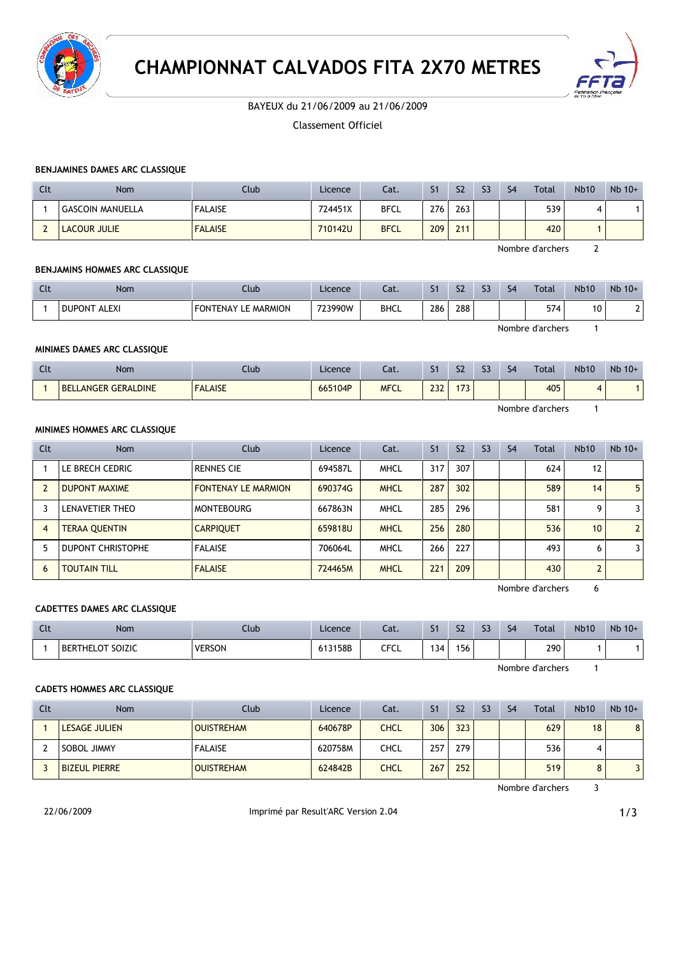

# **CHAMPIONNAT CALVADOS FITA 2X70 METRES**



# BAYEUX du 21/06/2009 au 21/06/2009

Classement Officiel

# **BENJAMINES DAMES ARC CLASSIQUE**

| Clt | Nom                     | Club           | Licence | Cat.        | S <sub>1</sub> | S <sub>2</sub> | S <sub>3</sub> | S <sub>4</sub> | Total | <b>Nb10</b> | $Nb$ 10+ |
|-----|-------------------------|----------------|---------|-------------|----------------|----------------|----------------|----------------|-------|-------------|----------|
|     | <b>GASCOIN MANUELLA</b> | <b>FALAISE</b> | 724451X | <b>BFCL</b> | 276            | 263            |                |                | 539   |             |          |
|     | <b>LACOUR JULIE</b>     | <b>FALAISE</b> | 710142U | <b>BFCL</b> | 209            | 211            |                |                | 420   |             |          |

Nombre d'archers 2

## **BENJAMINS HOMMES ARC CLASSIQUE**

| Clt | Nom                 | Club                           | Licence | Cat. | $\sim$<br>51 | S <sub>2</sub> | $\sim$ | S <sub>4</sub> | Total | <b>Nb10</b> | $Nb$ 10+ |
|-----|---------------------|--------------------------------|---------|------|--------------|----------------|--------|----------------|-------|-------------|----------|
|     | <b>DUPONT ALEXI</b> | LE MARMION<br>EON.<br>NTENAY I | 723990W | BHCL | 286          | 288            |        |                | 574   | 10          |          |

Nombre d'archers 1

## **MINIMES DAMES ARC CLASSIQUE**

| $\mathcal{L}$<br>uu | Nom                                      | Club           | Licence | Cat.        | $\mathbf{C}$<br>◡ | S <sub>2</sub> | $\sim$ | S <sub>4</sub> | Total | <b>Nb10</b> | Nb 10+ |
|---------------------|------------------------------------------|----------------|---------|-------------|-------------------|----------------|--------|----------------|-------|-------------|--------|
|                     | <b>GERALDINE</b><br><b>BEL</b><br>LANGER | <b>FALAISE</b> | 665104P | <b>MFCL</b> | 222<br>252        | 172<br>.       |        |                | 405   |             |        |

Nombre d'archers 1

## **MINIMES HOMMES ARC CLASSIQUE**

| Clt | <b>Nom</b>               | Club                       | Licence | Cat.        | S <sub>1</sub> | S <sub>2</sub> | S <sub>3</sub> | S <sub>4</sub> | Total | <b>Nb10</b>     | $Nb$ 10+       |
|-----|--------------------------|----------------------------|---------|-------------|----------------|----------------|----------------|----------------|-------|-----------------|----------------|
|     | LE BRECH CEDRIC          | <b>RENNES CIE</b>          | 694587L | <b>MHCL</b> | 317            | 307            |                |                | 624   | 12              |                |
|     | <b>DUPONT MAXIME</b>     | <b>FONTENAY LE MARMION</b> | 690374G | <b>MHCL</b> | 287            | 302            |                |                | 589   | 14              | 5 <sub>1</sub> |
|     | LENAVETIER THEO          | <b>MONTEBOURG</b>          | 667863N | <b>MHCL</b> | 285            | 296            |                |                | 581   | Q               | $\overline{3}$ |
| 4   | <b>TERAA QUENTIN</b>     | <b>CARPIQUET</b>           | 659818U | <b>MHCL</b> | 256            | 280            |                |                | 536   | 10 <sup>1</sup> | 2 <sup>1</sup> |
|     | <b>DUPONT CHRISTOPHE</b> | <b>FALAISE</b>             | 706064L | <b>MHCL</b> | 266            | 227            |                |                | 493   | 6               | $\overline{3}$ |
| 6   | <b>TOUTAIN TILL</b>      | <b>FALAISE</b>             | 724465M | <b>MHCL</b> | 221            | 209            |                |                | 430   |                 |                |

Nombre d'archers 6

#### **CADETTES DAMES ARC CLASSIQUE**

| $\mathcal{L}$<br><b>CLC</b> | Nom                        | Ilub          | Licence | Cat.        | $\sim$<br>51 | $\sim$<br>24 | $\sim$<br>-- | $\epsilon$<br>54 | Total | <b>Nb10</b> | $Nb$ 10+ |
|-----------------------------|----------------------------|---------------|---------|-------------|--------------|--------------|--------------|------------------|-------|-------------|----------|
|                             | SOIZIC<br><b>BERTHELOT</b> | <b>VERSON</b> | 613158B | <b>CFCL</b> | 34           | 156          |              |                  | 290   |             |          |

Nombre d'archers 1

### **CADETS HOMMES ARC CLASSIQUE**

| Clt | Nom                  | Club              | Licence | Cat.        | S <sub>1</sub> | S <sub>2</sub> | S <sub>3</sub> | S <sub>4</sub> | Total | <b>Nb10</b> | $Nb$ 10+ |
|-----|----------------------|-------------------|---------|-------------|----------------|----------------|----------------|----------------|-------|-------------|----------|
|     | <b>LESAGE JULIEN</b> | <b>OUISTREHAM</b> | 640678P | <b>CHCL</b> | 306            | 323            |                |                | 629   | 18          | 8        |
|     | SOBOL JIMMY          | <b>FALAISE</b>    | 620758M | CHCL        | 257            | 279            |                |                | 536   | 4           |          |
|     | <b>BIZEUL PIERRE</b> | <b>OUISTREHAM</b> | 624842B | <b>CHCL</b> | 267            | 252            |                |                | 519   | 8           |          |

Nombre d'archers 3

22/06/2009 Imprimé par Result'ARC Version 2.04 **Imprimé par Result'ARC Version 2.04**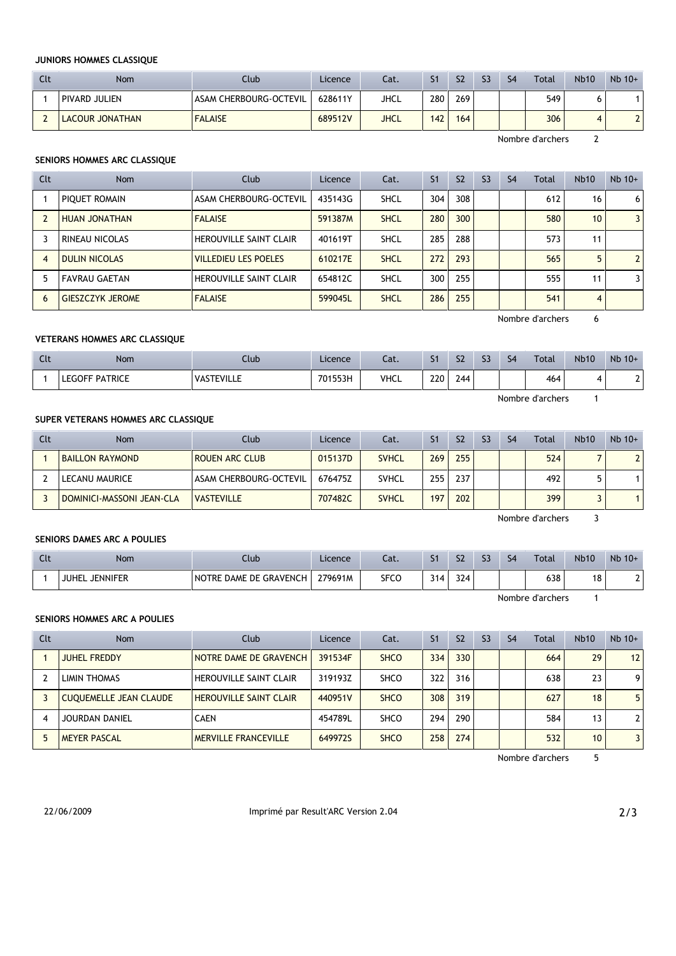## **JUNIORS HOMMES CLASSIQUE**

| Clt | Nom             | Club                   | Licence | Cat. | S <sub>1</sub> | S <sub>2</sub> | S <sub>3</sub> | S <sub>4</sub> | <b>Total</b> | <b>Nb10</b> | $Nb$ 10+ |
|-----|-----------------|------------------------|---------|------|----------------|----------------|----------------|----------------|--------------|-------------|----------|
|     | PIVARD JULIEN   | ASAM CHERBOURG-OCTEVIL | 628611Y | JHCL | 280            | 269            |                |                | 549          |             |          |
|     | LACOUR JONATHAN | <b>FALAISE</b>         | 689512V | JHCL | 142            | 164            |                |                | 306          |             |          |

Nombre d'archers 2

#### **SENIORS HOMMES ARC CLASSIQUE**

| Clt | <b>Nom</b>              | Club                          | Licence | Cat.        | S <sub>1</sub> | S <sub>2</sub> | S <sub>3</sub> | S <sub>4</sub> | Total | <b>Nb10</b>     | $Nb$ 10+       |
|-----|-------------------------|-------------------------------|---------|-------------|----------------|----------------|----------------|----------------|-------|-----------------|----------------|
|     | PIQUET ROMAIN           | ASAM CHERBOURG-OCTEVIL        | 435143G | <b>SHCL</b> | 304            | 308            |                |                | 612   | 16              | 6              |
|     | HUAN JONATHAN           | <b>FALAISE</b>                | 591387M | <b>SHCL</b> | 280            | 300            |                |                | 580   | 10 <sup>1</sup> | $\overline{3}$ |
|     | RINEAU NICOLAS          | <b>HEROUVILLE SAINT CLAIR</b> | 401619T | <b>SHCL</b> | 285            | 288            |                |                | 573   | 11              |                |
| 4   | <b>DULIN NICOLAS</b>    | <b>VILLEDIEU LES POELES</b>   | 610217E | <b>SHCL</b> | 272            | 293            |                |                | 565   |                 | $\overline{2}$ |
|     | <b>FAVRAU GAETAN</b>    | <b>HEROUVILLE SAINT CLAIR</b> | 654812C | <b>SHCL</b> | 300            | 255            |                |                | 555   | 11              | $\overline{3}$ |
| 6   | <b>GIESZCZYK JEROME</b> | <b>FALAISE</b>                | 599045L | <b>SHCL</b> | 286            | 255            |                |                | 541   | 4               |                |

Nombre d'archers 6

## **VETERANS HOMMES ARC CLASSIQUE**

| Clt | Nom                   | Club              | Licence | Cat.        | S <sub>1</sub> | S <sub>2</sub> | ८२ | S <sub>4</sub> | <b>Total</b>     | <b>Nb10</b> | $Nb$ 10+ |
|-----|-----------------------|-------------------|---------|-------------|----------------|----------------|----|----------------|------------------|-------------|----------|
|     | <b>LEGOFF PATRICE</b> | <b>VASTEVILLE</b> | 701553H | <b>VHCL</b> | 220            | 244            |    |                | 464              |             |          |
|     |                       |                   |         |             |                |                |    |                | Nombre d'archers |             |          |

## **SUPER VETERANS HOMMES ARC CLASSIQUE**

| Clt | Nom                       | Club                   | Licence | Cat.         | S <sub>1</sub> | S <sub>2</sub> | S <sub>3</sub> | S <sub>4</sub> | Total | <b>Nb10</b> | $Nb$ 10+ |
|-----|---------------------------|------------------------|---------|--------------|----------------|----------------|----------------|----------------|-------|-------------|----------|
|     | <b>BAILLON RAYMOND</b>    | <b>ROUEN ARC CLUB</b>  | 015137D | <b>SVHCL</b> | 269            | 255            |                |                | 524   |             |          |
|     | LECANU MAURICE            | ASAM CHERBOURG-OCTEVIL | 676475Z | <b>SVHCL</b> | 255            | 237            |                |                | 492   |             |          |
|     | DOMINICI-MASSONI JEAN-CLA | <b>VASTEVILLE</b>      | 707482C | <b>SVHCL</b> | 197            | 202            |                |                | 399   |             |          |

#### **SENIORS DAMES ARC A POULIES**

| นเ | <b>Nom</b>                      | Club                          | Licence | $-1$<br>cal. |          | S <sub>2</sub> | ch<br>-- | S <sub>4</sub> | Total | <b>Nb10</b> | $Nb$ 10+ |
|----|---------------------------------|-------------------------------|---------|--------------|----------|----------------|----------|----------------|-------|-------------|----------|
|    | <b>JUHEL</b><br><b>JENNIFER</b> | <b>NOTRE DAME DE GRAVENCH</b> | 279691M | SFCC         | 314<br>ັ | 324            |          |                | 638   | 18          | -        |

Nombre d'archers 1

Nombre d'archers 3

#### **SENIORS HOMMES ARC A POULIES**

| Clt | <b>Nom</b>                    | Club                          | Licence | Cat.        | S <sub>1</sub> | S <sub>2</sub> | S <sub>3</sub> | S <sub>4</sub> | Total | <b>Nb10</b>     | $Nb$ 10+       |
|-----|-------------------------------|-------------------------------|---------|-------------|----------------|----------------|----------------|----------------|-------|-----------------|----------------|
|     | <b>JUHEL FREDDY</b>           | NOTRE DAME DE GRAVENCH        | 391534F | <b>SHCO</b> | 334            | 330            |                |                | 664   | 29              | 12             |
|     | LIMIN THOMAS                  | <b>HEROUVILLE SAINT CLAIR</b> | 319193Z | <b>SHCO</b> | 322            | 316            |                |                | 638   | 23              | 9              |
|     | <b>CUQUEMELLE JEAN CLAUDE</b> | <b>HEROUVILLE SAINT CLAIR</b> | 440951V | <b>SHCO</b> | 308            | 319            |                |                | 627   | 18              | 5              |
|     | <b>JOURDAN DANIEL</b>         | <b>CAEN</b>                   | 454789L | <b>SHCO</b> | 294            | 290            |                |                | 584   | 13              | $\overline{2}$ |
|     | <b>MEYER PASCAL</b>           | <b>MERVILLE FRANCEVILLE</b>   | 649972S | <b>SHCO</b> | 258            | 274            |                |                | 532   | 10 <sup>1</sup> | 3              |

Nombre d'archers 5

22/06/2009 ImprimÈ par Result'ARC Version 2.04 2/3